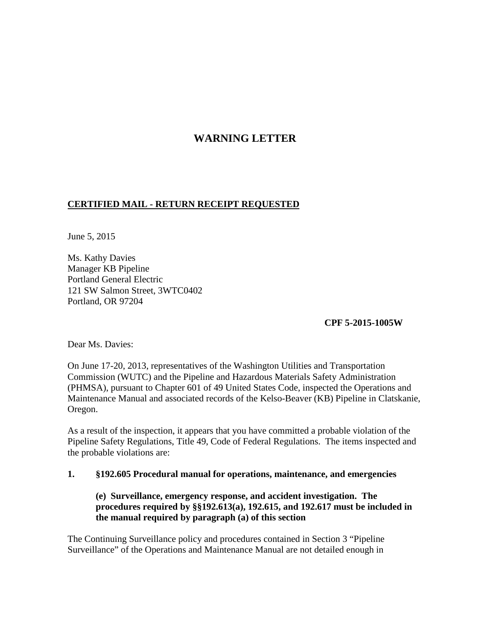# **WARNING LETTER**

# **CERTIFIED MAIL - RETURN RECEIPT REQUESTED**

June 5, 2015

Ms. Kathy Davies Manager KB Pipeline Portland General Electric 121 SW Salmon Street, 3WTC0402 Portland, OR 97204

**CPF 5-2015-1005W** 

Dear Ms. Davies:

On June 17-20, 2013, representatives of the Washington Utilities and Transportation Commission (WUTC) and the Pipeline and Hazardous Materials Safety Administration (PHMSA), pursuant to Chapter 601 of 49 United States Code, inspected the Operations and Maintenance Manual and associated records of the Kelso-Beaver (KB) Pipeline in Clatskanie, Oregon.

As a result of the inspection, it appears that you have committed a probable violation of the Pipeline Safety Regulations, Title 49, Code of Federal Regulations. The items inspected and the probable violations are:

### **1. §192.605 Procedural manual for operations, maintenance, and emergencies**

**(e) Surveillance, emergency response, and accident investigation. The procedures required by §§192.613(a), 192.615, and 192.617 must be included in the manual required by paragraph (a) of this section**

The Continuing Surveillance policy and procedures contained in Section 3 "Pipeline Surveillance" of the Operations and Maintenance Manual are not detailed enough in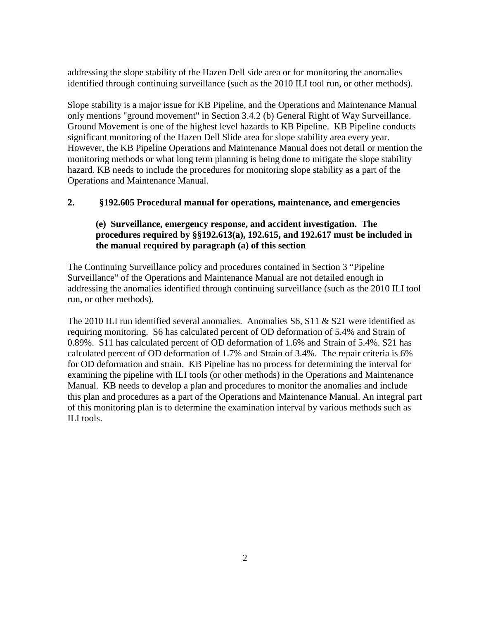addressing the slope stability of the Hazen Dell side area or for monitoring the anomalies identified through continuing surveillance (such as the 2010 ILI tool run, or other methods).

Slope stability is a major issue for KB Pipeline, and the Operations and Maintenance Manual only mentions "ground movement" in Section 3.4.2 (b) General Right of Way Surveillance. Ground Movement is one of the highest level hazards to KB Pipeline. KB Pipeline conducts significant monitoring of the Hazen Dell Slide area for slope stability area every year. However, the KB Pipeline Operations and Maintenance Manual does not detail or mention the monitoring methods or what long term planning is being done to mitigate the slope stability hazard. KB needs to include the procedures for monitoring slope stability as a part of the Operations and Maintenance Manual.

## **2. §192.605 Procedural manual for operations, maintenance, and emergencies**

## **(e) Surveillance, emergency response, and accident investigation. The procedures required by §§192.613(a), 192.615, and 192.617 must be included in the manual required by paragraph (a) of this section**

The Continuing Surveillance policy and procedures contained in Section 3 "Pipeline Surveillance" of the Operations and Maintenance Manual are not detailed enough in addressing the anomalies identified through continuing surveillance (such as the 2010 ILI tool run, or other methods).

The 2010 ILI run identified several anomalies. Anomalies S6, S11 & S21 were identified as requiring monitoring. S6 has calculated percent of OD deformation of 5.4% and Strain of 0.89%. S11 has calculated percent of OD deformation of 1.6% and Strain of 5.4%. S21 has calculated percent of OD deformation of 1.7% and Strain of 3.4%. The repair criteria is 6% for OD deformation and strain. KB Pipeline has no process for determining the interval for examining the pipeline with ILI tools (or other methods) in the Operations and Maintenance Manual. KB needs to develop a plan and procedures to monitor the anomalies and include this plan and procedures as a part of the Operations and Maintenance Manual. An integral part of this monitoring plan is to determine the examination interval by various methods such as ILI tools.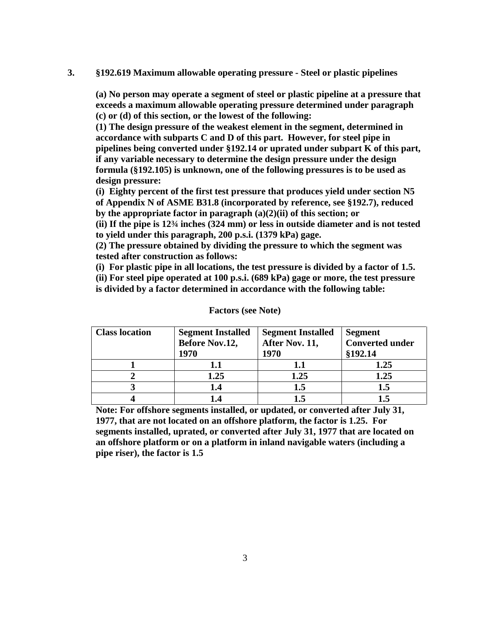#### **3. §192.619 Maximum allowable operating pressure - Steel or plastic pipelines**

 **(a) No person may operate a segment of steel or plastic pipeline at a pressure that exceeds a maximum allowable operating pressure determined under paragraph (c) or (d) of this section, or the lowest of the following:** 

**(1) The design pressure of the weakest element in the segment, determined in accordance with subparts C and D of this part. However, for steel pipe in pipelines being converted under §192.14 or uprated under subpart K of this part, if any variable necessary to determine the design pressure under the design formula (§192.105) is unknown, one of the following pressures is to be used as design pressure:**

**(i) Eighty percent of the first test pressure that produces yield under section N5 of Appendix N of ASME B31.8 (incorporated by reference, see §192.7), reduced by the appropriate factor in paragraph (a)(2)(ii) of this section; or**

**(ii) If the pipe is 12¾ inches (324 mm) or less in outside diameter and is not tested to yield under this paragraph, 200 p.s.i. (1379 kPa) gage.** 

**(2) The pressure obtained by dividing the pressure to which the segment was tested after construction as follows:**

**(i) For plastic pipe in all locations, the test pressure is divided by a factor of 1.5. (ii) For steel pipe operated at 100 p.s.i. (689 kPa) gage or more, the test pressure is divided by a factor determined in accordance with the following table:**

| <b>Class location</b> | <b>Segment Installed</b> | <b>Segment Installed</b> | <b>Segment</b>         |
|-----------------------|--------------------------|--------------------------|------------------------|
|                       | <b>Before Nov.12,</b>    | After Nov. 11,           | <b>Converted under</b> |
|                       | 1970                     | 1970                     | §192.14                |
|                       | 1.1                      | 1.1                      | 1.25                   |
|                       | 1.25                     | 1.25                     | 1.25                   |
|                       | 1.4                      | 1.5                      | 1.5                    |
|                       | l.4                      | I .5                     |                        |

#### **Factors (see Note)**

**Note: For offshore segments installed, or updated, or converted after July 31, 1977, that are not located on an offshore platform, the factor is 1.25. For segments installed, uprated, or converted after July 31, 1977 that are located on an offshore platform or on a platform in inland navigable waters (including a pipe riser), the factor is 1.5**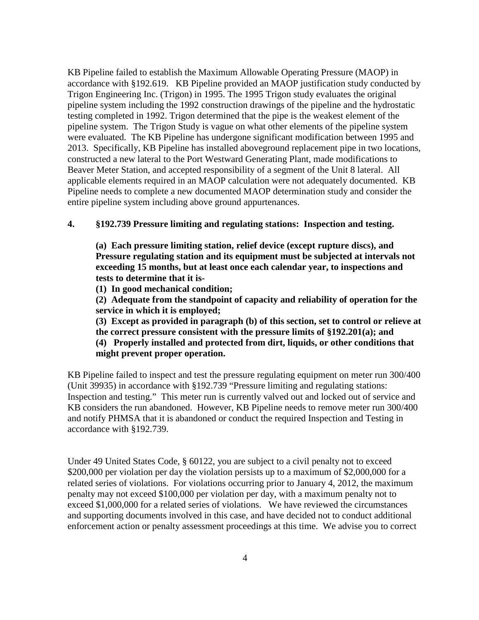KB Pipeline failed to establish the Maximum Allowable Operating Pressure (MAOP) in accordance with §192.619. KB Pipeline provided an MAOP justification study conducted by Trigon Engineering Inc. (Trigon) in 1995. The 1995 Trigon study evaluates the original pipeline system including the 1992 construction drawings of the pipeline and the hydrostatic testing completed in 1992. Trigon determined that the pipe is the weakest element of the pipeline system. The Trigon Study is vague on what other elements of the pipeline system were evaluated. The KB Pipeline has undergone significant modification between 1995 and 2013. Specifically, KB Pipeline has installed aboveground replacement pipe in two locations, constructed a new lateral to the Port Westward Generating Plant, made modifications to Beaver Meter Station, and accepted responsibility of a segment of the Unit 8 lateral. All applicable elements required in an MAOP calculation were not adequately documented. KB Pipeline needs to complete a new documented MAOP determination study and consider the entire pipeline system including above ground appurtenances.

### **4. §192.739 Pressure limiting and regulating stations: Inspection and testing.**

**(a) Each pressure limiting station, relief device (except rupture discs), and Pressure regulating station and its equipment must be subjected at intervals not exceeding 15 months, but at least once each calendar year, to inspections and tests to determine that it is-** 

**(1) In good mechanical condition;** 

**(2) Adequate from the standpoint of capacity and reliability of operation for the service in which it is employed;**

**(3) Except as provided in paragraph (b) of this section, set to control or relieve at the correct pressure consistent with the pressure limits of §192.201(a); and**

**(4) Properly installed and protected from dirt, liquids, or other conditions that might prevent proper operation.**

KB Pipeline failed to inspect and test the pressure regulating equipment on meter run 300/400 (Unit 39935) in accordance with §192.739 "Pressure limiting and regulating stations: Inspection and testing." This meter run is currently valved out and locked out of service and KB considers the run abandoned. However, KB Pipeline needs to remove meter run 300/400 and notify PHMSA that it is abandoned or conduct the required Inspection and Testing in accordance with §192.739.

Under 49 United States Code, § 60122, you are subject to a civil penalty not to exceed \$200,000 per violation per day the violation persists up to a maximum of \$2,000,000 for a related series of violations. For violations occurring prior to January 4, 2012, the maximum penalty may not exceed \$100,000 per violation per day, with a maximum penalty not to exceed \$1,000,000 for a related series of violations. We have reviewed the circumstances and supporting documents involved in this case, and have decided not to conduct additional enforcement action or penalty assessment proceedings at this time. We advise you to correct